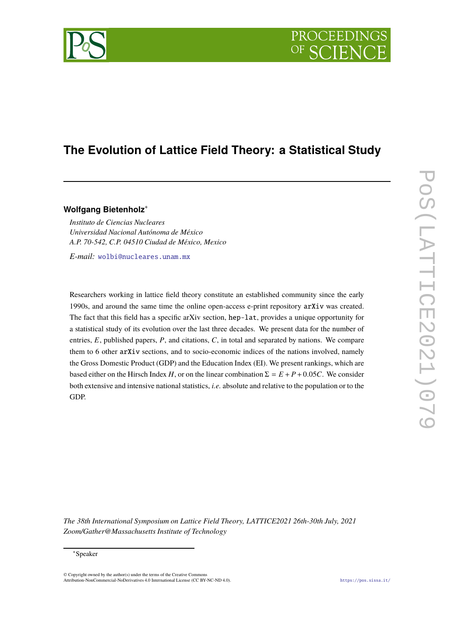

# **The Evolution of Lattice Field Theory: a Statistical Study**

**Wolfgang Bietenholz**<sup>∗</sup>

*Instituto de Ciencias Nucleares Universidad Nacional Autónoma de México A.P. 70-542, C.P. 04510 Ciudad de México, Mexico*

*E-mail:* [wolbi@nucleares.unam.mx](mailto:wolbi@nucleares.unam.mx)

Researchers working in lattice field theory constitute an established community since the early 1990s, and around the same time the online open-access e-print repository arXiv was created. The fact that this field has a specific arXiv section, hep-lat, provides a unique opportunity for a statistical study of its evolution over the last three decades. We present data for the number of entries, *E*, published papers, *P*, and citations, *C*, in total and separated by nations. We compare them to 6 other arXiv sections, and to socio-economic indices of the nations involved, namely the Gross Domestic Product (GDP) and the Education Index (EI). We present rankings, which are based either on the Hirsch Index *H*, or on the linear combination  $\Sigma = E + P + 0.05C$ . We consider both extensive and intensive national statistics, *i.e.* absolute and relative to the population or to the GDP.

*The 38th International Symposium on Lattice Field Theory, LATTICE2021 26th-30th July, 2021 Zoom/Gather@Massachusetts Institute of Technology*

© Copyright owned by the author(s) under the terms of the Creative Commons Attribution-NonCommercial-NoDerivatives 4.0 International License (CC BY-NC-ND 4.0). <https://pos.sissa.it/>

<sup>∗</sup>Speaker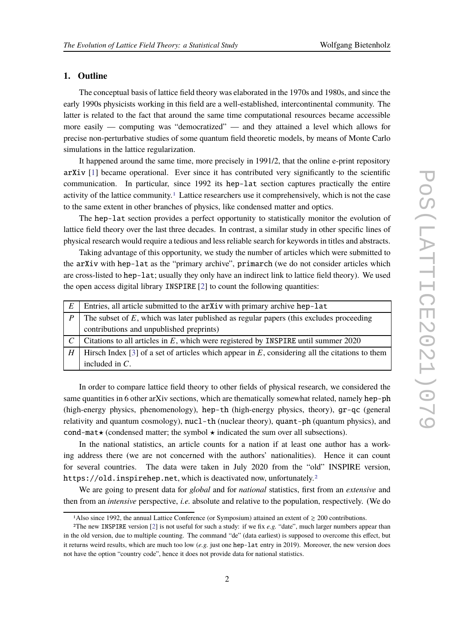## **1. Outline**

The conceptual basis of lattice field theory was elaborated in the 1970s and 1980s, and since the early 1990s physicists working in this field are a well-established, intercontinental community. The latter is related to the fact that around the same time computational resources became accessible more easily — computing was "democratized" — and they attained a level which allows for precise non-perturbative studies of some quantum field theoretic models, by means of Monte Carlo simulations in the lattice regularization.

It happened around the same time, more precisely in 1991/2, that the online e-print repository arXiv [\[1](#page-3-0)] became operational. Ever since it has contributed very significantly to the scientific communication. In particular, since 1992 its hep-lat section captures practically the entire activity of the lattice community.[1](#page-1-0) Lattice researchers use it comprehensively, which is not the case to the same extent in other branches of physics, like condensed matter and optics.

The hep-lat section provides a perfect opportunity to statistically monitor the evolution of lattice field theory over the last three decades. In contrast, a similar study in other specific lines of physical research would require a tedious and less reliable search for keywords in titles and abstracts.

Taking advantage of this opportunity, we study the number of articles which were submitted to the arXiv with hep-lat as the "primary archive", primarch (we do not consider articles which are cross-listed to hep-lat; usually they only have an indirect link to lattice field theory). We used the open access digital library INSPIRE [\[2](#page-3-1)] to count the following quantities:

| E         | Entries, all article submitted to the arXiv with primary archive hep-lat                          |
|-----------|---------------------------------------------------------------------------------------------------|
| $\cdot$ P | The subset of $E$ , which was later published as regular papers (this excludes proceeding         |
|           | contributions and unpublished preprints)                                                          |
|           | Citations to all articles in $E$ , which were registered by INSPIRE until summer 2020             |
| H         | Hirsch Index [3] of a set of articles which appear in $E$ , considering all the citations to them |
|           | included in $C$ .                                                                                 |

In order to compare lattice field theory to other fields of physical research, we considered the same quantities in 6 other arXiv sections, which are thematically somewhat related, namely hep-ph (high-energy physics, phenomenology), hep-th (high-energy physics, theory), gr-qc (general relativity and quantum cosmology), nucl-th (nuclear theory), quant-ph (quantum physics), and cond-mat $\star$  (condensed matter; the symbol  $\star$  indicated the sum over all subsections).

In the national statistics, an article counts for a nation if at least one author has a working address there (we are not concerned with the authors' nationalities). Hence it can count for several countries. The data were taken in July 2020 from the "old" INSPIRE version, https://old.inspirehep.net, which is deactivated now, unfortunately.<sup>[2](#page-1-1)</sup>

We are going to present data for *global* and for *national* statistics, first from an *extensive* and then from an *intensive* perspective, *i.e.* absolute and relative to the population, respectively. (We do

<span id="page-1-0"></span><sup>&</sup>lt;sup>1</sup>Also since 1992, the annual Lattice Conference (or Symposium) attained an extent of  $\geq 200$  contributions.

<span id="page-1-1"></span><sup>&</sup>lt;sup>2</sup>The new INSPIRE version  $[2]$  is not useful for such a study: if we fix *e.g.* "date", much larger numbers appear than in the old version, due to multiple counting. The command "de" (data earliest) is supposed to overcome this effect, but it returns weird results, which are much too low (*e.g.* just one hep-lat entry in 2019). Moreover, the new version does not have the option "country code", hence it does not provide data for national statistics.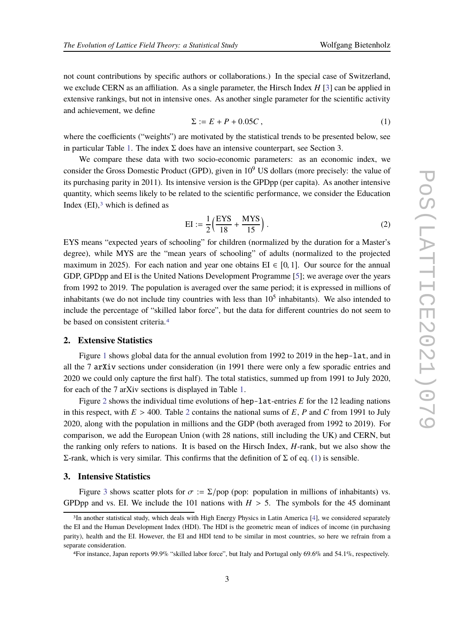not count contributions by specific authors or collaborations.) In the special case of Switzerland, we exclude CERN as an affiliation. As a single parameter, the Hirsch Index *H* [\[3](#page-3-2)] can be applied in extensive rankings, but not in intensive ones. As another single parameter for the scientific activity and achievement, we define

<span id="page-2-2"></span>
$$
\Sigma := E + P + 0.05C \tag{1}
$$

where the coefficients ("weights") are motivated by the statistical trends to be presented below, see in particular Table [1.](#page-3-3) The index  $\Sigma$  does have an intensive counterpart, see Section 3.

We compare these data with two socio-economic parameters: as an economic index, we consider the Gross Domestic Product (GPD), given in  $10<sup>9</sup>$  US dollars (more precisely: the value of its purchasing parity in 2011). Its intensive version is the GPDpp (per capita). As another intensive quantity, which seems likely to be related to the scientific performance, we consider the Education Index  $(EI)$ ,  $\alpha$  which is defined as

$$
EI := \frac{1}{2} \left( \frac{EYS}{18} + \frac{MYS}{15} \right).
$$
 (2)

EYS means "expected years of schooling" for children (normalized by the duration for a Master's degree), while MYS are the "mean years of schooling" of adults (normalized to the projected maximum in 2025). For each nation and year one obtains  $EI \in [0, 1]$ . Our source for the annual GDP, GPDpp and EI is the United Nations Development Programme [\[5\]](#page-3-4); we average over the years from 1992 to 2019. The population is averaged over the same period; it is expressed in millions of inhabitants (we do not include tiny countries with less than  $10<sup>5</sup>$  inhabitants). We also intended to include the percentage of "skilled labor force", but the data for different countries do not seem to be based on consistent criteria.[4](#page-2-1)

### **2. Extensive Statistics**

Figure [1](#page-3-5) shows global data for the annual evolution from 1992 to 2019 in the hep-lat, and in all the 7 arXiv sections under consideration (in 1991 there were only a few sporadic entries and 2020 we could only capture the first half). The total statistics, summed up from 1991 to July 2020, for each of the 7 arXiv sections is displayed in Table [1.](#page-3-3)

Figure [2](#page-4-0) shows the individual time evolutions of hep-lat-entries *E* for the 12 leading nations in this respect, with  $E > 400$ . Table [2](#page-5-0) contains the national sums of  $E$ ,  $P$  and  $C$  from 1991 to July 2020, along with the population in millions and the GDP (both averaged from 1992 to 2019). For comparison, we add the European Union (with 28 nations, still including the UK) and CERN, but the ranking only refers to nations. It is based on the Hirsch Index, *H*-rank, but we also show the Σ-rank, which is very similar. This confirms that the definition of Σ of eq. [\(1\)](#page-2-2) is sensible.

#### **3. Intensive Statistics**

Figure [3](#page-4-1) shows scatter plots for  $\sigma := \Sigma/pop$  (pop: population in millions of inhabitants) vs. GPDpp and vs. EI. We include the 101 nations with  $H > 5$ . The symbols for the 45 dominant

<span id="page-2-0"></span><sup>3</sup>In another statistical study, which deals with High Energy Physics in Latin America [\[4\]](#page-3-6), we considered separately the EI and the Human Development Index (HDI). The HDI is the geometric mean of indices of income (in purchasing parity), health and the EI. However, the EI and HDI tend to be similar in most countries, so here we refrain from a separate consideration.

<span id="page-2-1"></span><sup>4</sup>For instance, Japan reports 99.9% "skilled labor force", but Italy and Portugal only 69.6% and 54.1%, respectively.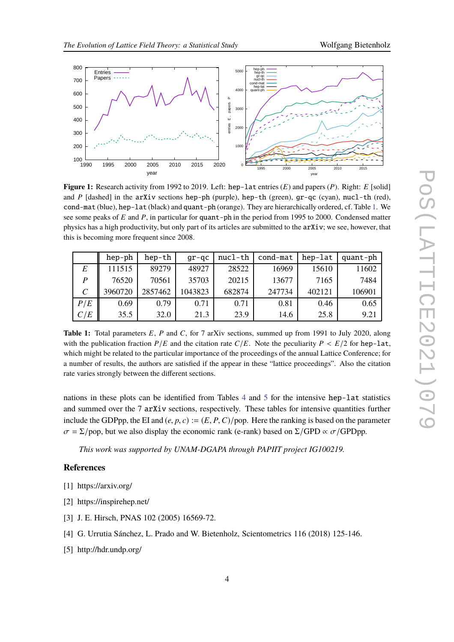<span id="page-3-5"></span>

**Figure 1:** Research activity from 1992 to 2019. Left: hep-lat entries (*E*) and papers (*P*). Right: *E* [solid] and *P* [dashed] in the arXiv sections hep-ph (purple), hep-th (green),  $gr-qc$  (cyan), nucl-th (red), cond-mat (blue), hep-lat (black) and quant-ph (orange). They are hierarchically ordered, cf. Table [1.](#page-3-3) We see some peaks of *E* and *P*, in particular for quant-ph in the period from 1995 to 2000. Condensed matter physics has a high productivity, but only part of its articles are submitted to the arXiv; we see, however, that this is becoming more frequent since 2008.

<span id="page-3-3"></span>

|                             | hep-ph  | hep-th  | $qr-qc$ | nucl-th | cond-mat | hep-lat | quant-ph |
|-----------------------------|---------|---------|---------|---------|----------|---------|----------|
| E                           | 111515  | 89279   | 48927   | 28522   | 16969    | 15610   | 11602    |
| $\boldsymbol{P}$            | 76520   | 70561   | 35703   | 20215   | 13677    | 7165    | 7484     |
| $\mathcal{C}_{\mathcal{C}}$ | 3960720 | 2857462 | 1043823 | 682874  | 247734   | 402121  | 106901   |
| P/E                         | 0.69    | 0.79    | 0.71    | 0.71    | 0.81     | 0.46    | 0.65     |
| C/E                         | 35.5    | 32.0    | 21.3    | 23.9    | 14.6     | 25.8    | 9.21     |

**Table 1:** Total parameters *E*, *P* and *C*, for 7 arXiv sections, summed up from 1991 to July 2020, along with the publication fraction  $P/E$  and the citation rate  $C/E$ . Note the peculiarity  $P < E/2$  for hep-lat, which might be related to the particular importance of the proceedings of the annual Lattice Conference; for a number of results, the authors are satisfied if the appear in these "lattice proceedings". Also the citation rate varies strongly between the different sections.

nations in these plots can be identified from Tables [4](#page-7-0) and [5](#page-8-0) for the intensive hep-lat statistics and summed over the 7 arXiv sections, respectively. These tables for intensive quantities further include the GDPpp, the EI and  $(e, p, c) := (E, P, C)/p$  op. Here the ranking is based on the parameter  $\sigma = \Sigma$ /pop, but we also display the economic rank (e-rank) based on  $\Sigma$ /GPD  $\propto \sigma$ /GPDpp.

*This work was supported by UNAM-DGAPA through PAPIIT project IG100219.*

## **References**

- <span id="page-3-0"></span>[1] https://arxiv.org/
- <span id="page-3-1"></span>[2] https://inspirehep.net/
- <span id="page-3-2"></span>[3] J. E. Hirsch, PNAS 102 (2005) 16569-72.
- <span id="page-3-6"></span>[4] G. Urrutia Sánchez, L. Prado and W. Bietenholz, Scientometrics 116 (2018) 125-146.
- <span id="page-3-4"></span>[5] http://hdr.undp.org/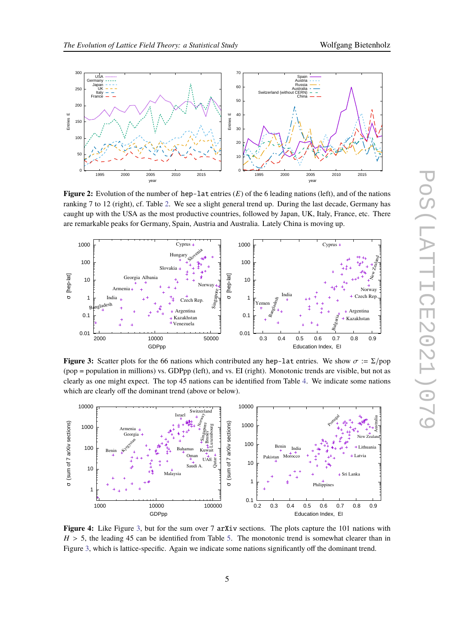<span id="page-4-0"></span>

**Figure 2:** Evolution of the number of hep-lat entries (*E*) of the 6 leading nations (left), and of the nations ranking 7 to 12 (right), cf. Table [2.](#page-5-0) We see a slight general trend up. During the last decade, Germany has caught up with the USA as the most productive countries, followed by Japan, UK, Italy, France, etc. There are remarkable peaks for Germany, Spain, Austria and Australia. Lately China is moving up.

<span id="page-4-1"></span>

**Figure 3:** Scatter plots for the 66 nations which contributed any hep-lat entries. We show  $\sigma := \Sigma/\text{pop}$ (pop = population in millions) vs. GDPpp (left), and vs. EI (right). Monotonic trends are visible, but not as clearly as one might expect. The top 45 nations can be identified from Table [4.](#page-7-0) We indicate some nations which are clearly off the dominant trend (above or below).



**Figure 4:** Like Figure [3,](#page-4-1) but for the sum over 7 arXiv sections. The plots capture the 101 nations with  $H > 5$ , the leading 45 can be identified from Table [5.](#page-8-0) The monotonic trend is somewhat clearer than in Figure [3,](#page-4-1) which is lattice-specific. Again we indicate some nations significantly off the dominant trend.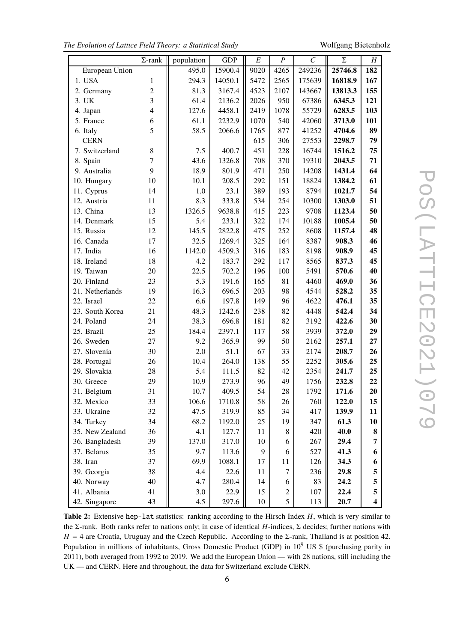|  |  |  |  |  |  |  | The Evolution of Lattice Field Theory: a Statistical Study |  |
|--|--|--|--|--|--|--|------------------------------------------------------------|--|
|--|--|--|--|--|--|--|------------------------------------------------------------|--|

<span id="page-5-0"></span>**r** 

*The Evolution of Lattice Field Theory: a Statistical Study* Wolfgang Bietenholz

|                 | $\Sigma$ -rank          | population | <b>GDP</b> | E    | $\boldsymbol{P}$ | $\mathcal C$ | Σ       | Η                       |
|-----------------|-------------------------|------------|------------|------|------------------|--------------|---------|-------------------------|
| European Union  |                         | 495.0      | 15900.4    | 9020 | 4265             | 249236       | 25746.8 | 182                     |
| 1. USA          | 1                       | 294.3      | 14050.1    | 5472 | 2565             | 175639       | 16818.9 | 167                     |
| 2. Germany      | $\overline{2}$          | 81.3       | 3167.4     | 4523 | 2107             | 143667       | 13813.3 | 155                     |
| 3. UK           | 3                       | 61.4       | 2136.2     | 2026 | 950              | 67386        | 6345.3  | 121                     |
| 4. Japan        | $\overline{\mathbf{4}}$ | 127.6      | 4458.1     | 2419 | 1078             | 55729        | 6283.5  | 103                     |
| 5. France       | 6                       | 61.1       | 2232.9     | 1070 | 540              | 42060        | 3713.0  | 101                     |
| 6. Italy        | 5                       | 58.5       | 2066.6     | 1765 | 877              | 41252        | 4704.6  | 89                      |
| <b>CERN</b>     |                         |            |            | 615  | 306              | 27553        | 2298.7  | 79                      |
| 7. Switzerland  | 8                       | 7.5        | 400.7      | 451  | 228              | 16744        | 1516.2  | 75                      |
| 8. Spain        | 7                       | 43.6       | 1326.8     | 708  | 370              | 19310        | 2043.5  | 71                      |
| 9. Australia    | 9                       | 18.9       | 801.9      | 471  | 250              | 14208        | 1431.4  | 64                      |
| 10. Hungary     | 10                      | 10.1       | 208.5      | 292  | 151              | 18824        | 1384.2  | 61                      |
| 11. Cyprus      | 14                      | 1.0        | 23.1       | 389  | 193              | 8794         | 1021.7  | 54                      |
| 12. Austria     | 11                      | 8.3        | 333.8      | 534  | 254              | 10300        | 1303.0  | 51                      |
| 13. China       | 13                      | 1326.5     | 9638.8     | 415  | 223              | 9708         | 1123.4  | 50                      |
| 14. Denmark     | 15                      | 5.4        | 233.1      | 322  | 174              | 10188        | 1005.4  | 50                      |
| 15. Russia      | 12                      | 145.5      | 2822.8     | 475  | 252              | 8608         | 1157.4  | 48                      |
| 16. Canada      | 17                      | 32.5       | 1269.4     | 325  | 164              | 8387         | 908.3   | 46                      |
| 17. India       | 16                      | 1142.0     | 4509.3     | 316  | 183              | 8198         | 908.9   | 45                      |
| 18. Ireland     | 18                      | 4.2        | 183.7      | 292  | 117              | 8565         | 837.3   | 45                      |
| 19. Taiwan      | 20                      | 22.5       | 702.2      | 196  | 100              | 5491         | 570.6   | 40                      |
| 20. Finland     | 23                      | 5.3        | 191.6      | 165  | 81               | 4460         | 469.0   | 36                      |
| 21. Netherlands | 19                      | 16.3       | 696.5      | 203  | 98               | 4544         | 528.2   | 35                      |
| 22. Israel      | 22                      | 6.6        | 197.8      | 149  | 96               | 4622         | 476.1   | 35                      |
| 23. South Korea | 21                      | 48.3       | 1242.6     | 238  | 82               | 4448         | 542.4   | 34                      |
| 24. Poland      | 24                      | 38.3       | 696.8      | 181  | 82               | 3192         | 422.6   | 30                      |
| 25. Brazil      | 25                      | 184.4      | 2397.1     | 117  | 58               | 3939         | 372.0   | 29                      |
| 26. Sweden      | 27                      | 9.2        | 365.9      | 99   | 50               | 2162         | 257.1   | 27                      |
| 27. Slovenia    | 30                      | 2.0        | 51.1       | 67   | 33               | 2174         | 208.7   | 26                      |
| 28. Portugal    | 26                      | 10.4       | 264.0      | 138  | 55               | 2252         | 305.6   | 25                      |
| 29. Slovakia    | 28                      | 5.4        | 111.5      | 82   | 42               | 2354         | 241.7   | 25                      |
| 30. Greece      | 29                      | 10.9       | 273.9      | 96   | 49               | 1756         | 232.8   | 22                      |
| 31. Belgium     | 31                      | 10.7       | 409.5      | 54   | 28               | 1792         | 171.6   | 20                      |
| 32. Mexico      | 33                      | 106.6      | 1710.8     | 58   | 26               | 760          | 122.0   | 15                      |
| 33. Ukraine     | 32                      | 47.5       | 319.9      | 85   | 34               | 417          | 139.9   | 11                      |
| 34. Turkey      | 34                      | 68.2       | 1192.0     | 25   | 19               | 347          | 61.3    | 10                      |
| 35. New Zealand | 36                      | 4.1        | 127.7      | 11   | 8                | 420          | 40.0    | 8                       |
| 36. Bangladesh  | 39                      | 137.0      | 317.0      | 10   | 6                | 267          | 29.4    | 7                       |
| 37. Belarus     | 35                      | 9.7        | 113.6      | 9    | 6                | 527          | 41.3    | 6                       |
| 38. Iran        | 37                      | 69.9       | 1088.1     | 17   | 11               | 126          | 34.3    | 6                       |
| 39. Georgia     | 38                      | 4.4        | 22.6       | 11   | $\tau$           | 236          | 29.8    | 5                       |
| 40. Norway      | 40                      | 4.7        | 280.4      | 14   | 6                | 83           | 24.2    | 5                       |
| 41. Albania     | 41                      | 3.0        | 22.9       | 15   | $\overline{c}$   | 107          | 22.4    | 5                       |
| 42. Singapore   | 43                      | 4.5        | 297.6      | 10   | 5                | 113          | 20.7    | $\overline{\mathbf{4}}$ |

**Table 2:** Extensive hep-lat statistics: ranking according to the Hirsch Index *H*, which is very similar to the Σ-rank. Both ranks refer to nations only; in case of identical *H*-indices, Σ decides; further nations with  $H = 4$  are Croatia, Uruguay and the Czech Republic. According to the  $\Sigma$ -rank, Thailand is at position 42. Population in millions of inhabitants, Gross Domestic Product (GDP) in 10<sup>9</sup> US \$ (purchasing parity in 2011), both averaged from 1992 to 2019. We add the European Union — with 28 nations, still including the UK — and CERN. Here and throughout, the data for Switzerland exclude CERN.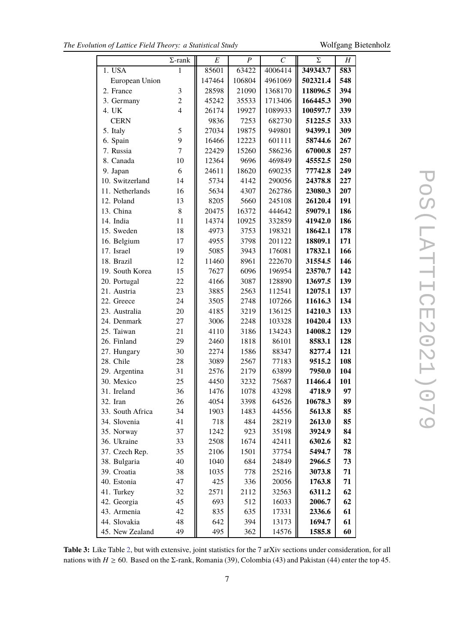|                  | $\Sigma$ -rank | E      | $\boldsymbol{P}$ | $\mathcal{C}_{0}^{0}$ | Σ        | H   |
|------------------|----------------|--------|------------------|-----------------------|----------|-----|
| 1. USA           | 1              | 85601  | 63422            | 4006414               | 349343.7 | 583 |
| European Union   |                | 147464 | 106804           | 4961069               | 502321.4 | 548 |
| 2. France        | 3              | 28598  | 21090            | 1368170               | 118096.5 | 394 |
| 3. Germany       | $\overline{c}$ | 45242  | 35533            | 1713406               | 166445.3 | 390 |
| 4. UK            | $\overline{4}$ | 26174  | 19927            | 1089933               | 100597.7 | 339 |
| <b>CERN</b>      |                | 9836   | 7253             | 682730                | 51225.5  | 333 |
| 5. Italy         | 5              | 27034  | 19875            | 949801                | 94399.1  | 309 |
| 6. Spain         | 9              | 16466  | 12223            | 601111                | 58744.6  | 267 |
| 7. Russia        | $\overline{7}$ | 22429  | 15260            | 586236                | 67000.8  | 257 |
| 8. Canada        | 10             | 12364  | 9696             | 469849                | 45552.5  | 250 |
| 9. Japan         | 6              | 24611  | 18620            | 690235                | 77742.8  | 249 |
| 10. Switzerland  | 14             | 5734   | 4142             | 290056                | 24378.8  | 227 |
| 11. Netherlands  | 16             | 5634   | 4307             | 262786                | 23080.3  | 207 |
| 12. Poland       | 13             | 8205   | 5660             | 245108                | 26120.4  | 191 |
| 13. China        | 8              | 20475  | 16372            | 444642                | 59079.1  | 186 |
| 14. India        | 11             | 14374  | 10925            | 332859                | 41942.0  | 186 |
| 15. Sweden       | 18             | 4973   | 3753             | 198321                | 18642.1  | 178 |
| 16. Belgium      | 17             | 4955   | 3798             | 201122                | 18809.1  | 171 |
| 17. Israel       | 19             | 5085   | 3943             | 176081                | 17832.1  | 166 |
| 18. Brazil       | 12             | 11460  | 8961             | 222670                | 31554.5  | 146 |
| 19. South Korea  | 15             | 7627   | 6096             | 196954                | 23570.7  | 142 |
| 20. Portugal     | 22             | 4166   | 3087             | 128890                | 13697.5  | 139 |
| 21. Austria      | 23             | 3885   | 2563             | 112541                | 12075.1  | 137 |
| 22. Greece       | 24             | 3505   | 2748             | 107266                | 11616.3  | 134 |
| 23. Australia    | 20             | 4185   | 3219             | 136125                | 14210.3  | 133 |
| 24. Denmark      | 27             | 3006   | 2248             | 103328                | 10420.4  | 133 |
| 25. Taiwan       | 21             | 4110   | 3186             | 134243                | 14008.2  | 129 |
| 26. Finland      | 29             | 2460   | 1818             | 86101                 | 8583.1   | 128 |
| 27. Hungary      | 30             | 2274   | 1586             | 88347                 | 8277.4   | 121 |
| 28. Chile        | 28             | 3089   | 2567             | 77183                 | 9515.2   | 108 |
| 29. Argentina    | 31             | 2576   | 2179             | 63899                 | 7950.0   | 104 |
| 30. Mexico       | 25             | 4450   | 3232             | 75687                 | 11466.4  | 101 |
| 31. Ireland      | 36             | 1476   | 1078             | 43298                 | 4718.9   | 97  |
| 32. Iran         | 26             | 4054   | 3398             | 64526                 | 10678.3  | 89  |
| 33. South Africa | 34             | 1903   | 1483             | 44556                 | 5613.8   | 85  |
| 34. Slovenia     | 41             | 718    | 484              | 28219                 | 2613.0   | 85  |
| 35. Norway       | 37             | 1242   | 923              | 35198                 | 3924.9   | 84  |
| 36. Ukraine      | 33             | 2508   | 1674             | 42411                 | 6302.6   | 82  |
| 37. Czech Rep.   | 35             | 2106   | 1501             | 37754                 | 5494.7   | 78  |
| 38. Bulgaria     | 40             | 1040   | 684              | 24849                 | 2966.5   | 73  |
| 39. Croatia      | 38             | 1035   | 778              | 25216                 | 3073.8   | 71  |
| 40. Estonia      | 47             | 425    | 336              | 20056                 | 1763.8   | 71  |
| 41. Turkey       | 32             | 2571   | 2112             | 32563                 | 6311.2   | 62  |
| 42. Georgia      | 45             | 693    | 512              | 16033                 | 2006.7   | 62  |
| 43. Armenia      | 42             | 835    | 635              | 17331                 | 2336.6   | 61  |
| 44. Slovakia     | 48             | 642    | 394              | 13173                 | 1694.7   | 61  |
| 45. New Zealand  | 49             | 495    | 362              | 14576                 | 1585.8   | 60  |

**Table 3:** Like Table [2,](#page-5-0) but with extensive, joint statistics for the 7 arXiv sections under consideration, for all nations with *H*  $\geq$  60. Based on the Σ-rank, Romania (39), Colombia (43) and Pakistan (44) enter the top 45.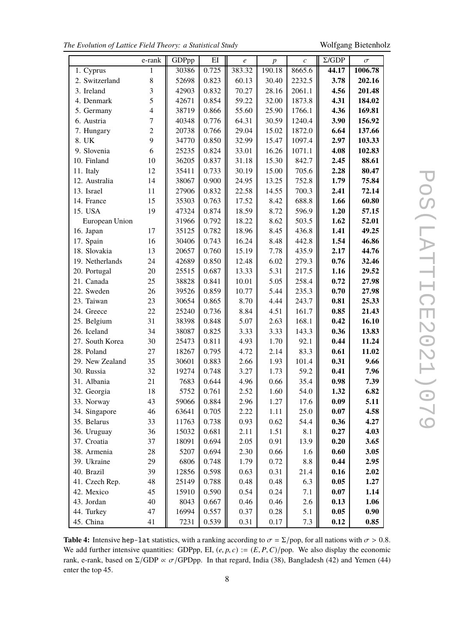|  |  |  |  |  |  |  | The Evolution of Lattice Field Theory: a Statistical Study |  |
|--|--|--|--|--|--|--|------------------------------------------------------------|--|
|--|--|--|--|--|--|--|------------------------------------------------------------|--|

*The Evolution of Lattice Field Theory: a Statistical Study* Wolfgang Bietenholz

 $\overline{\phantom{0}}$ 

<span id="page-7-0"></span>

|                 | e-rank         | GDPpp | EI    | $\boldsymbol{e}$ | $\boldsymbol{p}$ | $\boldsymbol{c}$ | $\Sigma$ /GDP | $\sigma$ |
|-----------------|----------------|-------|-------|------------------|------------------|------------------|---------------|----------|
| 1. Cyprus       | 1              | 30386 | 0.725 | 383.32           | 190.18           | 8665.6           | 44.17         | 1006.78  |
| 2. Switzerland  | 8              | 52698 | 0.823 | 60.13            | 30.40            | 2232.5           | 3.78          | 202.16   |
| 3. Ireland      | 3              | 42903 | 0.832 | 70.27            | 28.16            | 2061.1           | 4.56          | 201.48   |
| 4. Denmark      | 5              | 42671 | 0.854 | 59.22            | 32.00            | 1873.8           | 4.31          | 184.02   |
| 5. Germany      | $\overline{4}$ | 38719 | 0.866 | 55.60            | 25.90            | 1766.1           | 4.36          | 169.81   |
| 6. Austria      | $\tau$         | 40348 | 0.776 | 64.31            | 30.59            | 1240.4           | 3.90          | 156.92   |
| 7. Hungary      | $\overline{2}$ | 20738 | 0.766 | 29.04            | 15.02            | 1872.0           | 6.64          | 137.66   |
| 8. UK           | 9              | 34770 | 0.850 | 32.99            | 15.47            | 1097.4           | 2.97          | 103.33   |
| 9. Slovenia     | 6              | 25235 | 0.824 | 33.01            | 16.26            | 1071.1           | 4.08          | 102.83   |
| 10. Finland     | 10             | 36205 | 0.837 | 31.18            | 15.30            | 842.7            | 2.45          | 88.61    |
| 11. Italy       | 12             | 35411 | 0.733 | 30.19            | 15.00            | 705.6            | 2.28          | 80.47    |
| 12. Australia   | 14             | 38067 | 0.900 | 24.95            | 13.25            | 752.8            | 1.79          | 75.84    |
| 13. Israel      | 11             | 27906 | 0.832 | 22.58            | 14.55            | 700.3            | 2.41          | 72.14    |
| 14. France      | 15             | 35303 | 0.763 | 17.52            | 8.42             | 688.8            | 1.66          | 60.80    |
| 15. USA         | 19             | 47324 | 0.874 | 18.59            | 8.72             | 596.9            | 1.20          | 57.15    |
| European Union  |                | 31966 | 0.792 | 18.22            | 8.62             | 503.5            | 1.62          | 52.01    |
| 16. Japan       | 17             | 35125 | 0.782 | 18.96            | 8.45             | 436.8            | 1.41          | 49.25    |
| 17. Spain       | 16             | 30406 | 0.743 | 16.24            | 8.48             | 442.8            | 1.54          | 46.86    |
| 18. Slovakia    | 13             | 20657 | 0.760 | 15.19            | 7.78             | 435.9            | 2.17          | 44.76    |
| 19. Netherlands | 24             | 42689 | 0.850 | 12.48            | 6.02             | 279.3            | 0.76          | 32.46    |
| 20. Portugal    | 20             | 25515 | 0.687 | 13.33            | 5.31             | 217.5            | 1.16          | 29.52    |
| 21. Canada      | 25             | 38828 | 0.841 | 10.01            | 5.05             | 258.4            | 0.72          | 27.98    |
| 22. Sweden      | 26             | 39526 | 0.859 | 10.77            | 5.44             | 235.3            | 0.70          | 27.98    |
| 23. Taiwan      | 23             | 30654 | 0.865 | 8.70             | 4.44             | 243.7            | 0.81          | 25.33    |
| 24. Greece      | 22             | 25240 | 0.736 | 8.84             | 4.51             | 161.7            | 0.85          | 21.43    |
| 25. Belgium     | 31             | 38398 | 0.848 | 5.07             | 2.63             | 168.1            | 0.42          | 16.10    |
| 26. Iceland     | 34             | 38087 | 0.825 | 3.33             | 3.33             | 143.3            | 0.36          | 13.83    |
| 27. South Korea | 30             | 25473 | 0.811 | 4.93             | 1.70             | 92.1             | 0.44          | 11.24    |
| 28. Poland      | 27             | 18267 | 0.795 | 4.72             | 2.14             | 83.3             | 0.61          | 11.02    |
| 29. New Zealand | 35             | 30601 | 0.883 | 2.66             | 1.93             | 101.4            | 0.31          | 9.66     |
| 30. Russia      | 32             | 19274 | 0.748 | 3.27             | 1.73             | 59.2             | 0.41          | 7.96     |
| 31. Albania     | 21             | 7683  | 0.644 | 4.96             | 0.66             | 35.4             | 0.98          | 7.39     |
| 32. Georgia     | 18             | 5752  | 0.761 | 2.52             | 1.60             | 54.0             | 1.32          | 6.82     |
| 33. Norway      | 43             | 59066 | 0.884 | 2.96             | 1.27             | 17.6             | 0.09          | 5.11     |
| 34. Singapore   | 46             | 63641 | 0.705 | 2.22             | 1.11             | 25.0             | 0.07          | 4.58     |
| 35. Belarus     | 33             | 11763 | 0.738 | 0.93             | 0.62             | 54.4             | 0.36          | 4.27     |
| 36. Uruguay     | 36             | 15032 | 0.681 | 2.11             | 1.51             | 8.1              | 0.27          | 4.03     |
| 37. Croatia     | 37             | 18091 | 0.694 | 2.05             | 0.91             | 13.9             | 0.20          | 3.65     |
| 38. Armenia     | 28             | 5207  | 0.694 | 2.30             | 0.66             | 1.6              | 0.60          | 3.05     |
| 39. Ukraine     | 29             | 6806  | 0.748 | 1.79             | 0.72             | $8.8\,$          | 0.44          | 2.95     |
| 40. Brazil      | 39             | 12856 | 0.598 | 0.63             | 0.31             | 21.4             | 0.16          | 2.02     |
| 41. Czech Rep.  | 48             | 25149 | 0.788 | 0.48             | 0.48             | 6.3              | 0.05          | 1.27     |
| 42. Mexico      | 45             | 15910 | 0.590 | 0.54             | 0.24             | 7.1              | 0.07          | 1.14     |
| 43. Jordan      | 40             | 8043  | 0.667 | 0.46             | 0.46             | 2.6              | 0.13          | 1.06     |
| 44. Turkey      | 47             | 16994 | 0.557 | 0.37             | 0.28             | 5.1              | 0.05          | 0.90     |
| 45. China       | 41             | 7231  | 0.539 | 0.31             | 0.17             | 7.3              | 0.12          | 0.85     |

**Table 4:** Intensive hep-lat statistics, with a ranking according to  $\sigma = \Sigma$ /pop, for all nations with  $\sigma > 0.8$ . We add further intensive quantities: GDPpp, EI,  $(e, p, c) := (E, P, C)$ /pop. We also display the economic rank, e-rank, based on  $\Sigma$ /GDP  $\propto \sigma$ /GPDpp. In that regard, India (38), Bangladesh (42) and Yemen (44) enter the top 45.